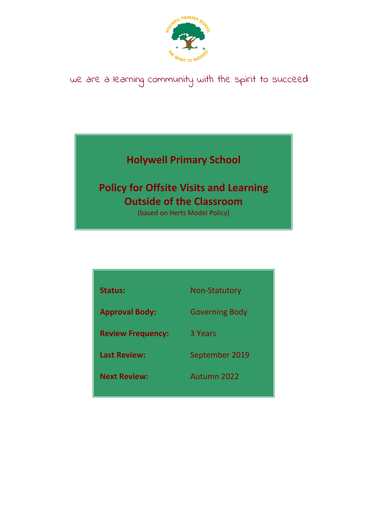

# we are a learning community with the spirit to succeed

## **Holywell Primary School**

## **Policy for Offsite Visits and Learning Outside of the Classroom**

(based on Herts Model Policy)

| <b>Status:</b>           | <b>Non-Statutory</b>  |
|--------------------------|-----------------------|
| <b>Approval Body:</b>    | <b>Governing Body</b> |
| <b>Review Frequency:</b> | 3 Years               |
| <b>Last Review:</b>      | September 2019        |
| <b>Next Review:</b>      | Autumn 2022           |
|                          |                       |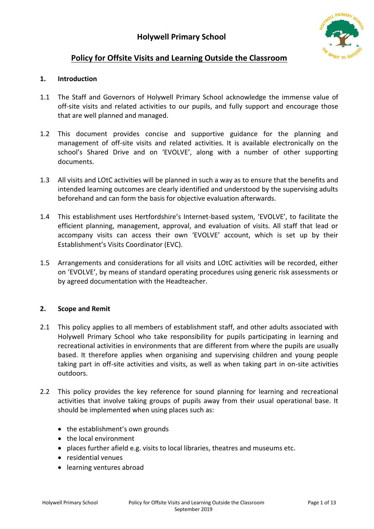

## **Policy for Offsite Visits and Learning Outside the Classroom**

## **1. Introduction**

- 1.1 The Staff and Governors of Holywell Primary School acknowledge the immense value of off-site visits and related activities to our pupils, and fully support and encourage those that are well planned and managed.
- 1.2 This document provides concise and supportive guidance for the planning and management of off-site visits and related activities. It is available electronically on the school's Shared Drive and on 'EVOLVE', along with a number of other supporting documents.
- 1.3 All visits and LOtC activities will be planned in such a way as to ensure that the benefits and intended learning outcomes are clearly identified and understood by the supervising adults beforehand and can form the basis for objective evaluation afterwards.
- 1.4 This establishment uses Hertfordshire's Internet-based system, 'EVOLVE', to facilitate the efficient planning, management, approval, and evaluation of visits. All staff that lead or accompany visits can access their own 'EVOLVE' account, which is set up by their Establishment's Visits Coordinator (EVC).
- 1.5 Arrangements and considerations for all visits and LOtC activities will be recorded, either on 'EVOLVE', by means of standard operating procedures using generic risk assessments or by agreed documentation with the Headteacher.

## **2. Scope and Remit**

- 2.1 This policy applies to all members of establishment staff, and other adults associated with Holywell Primary School who take responsibility for pupils participating in learning and recreational activities in environments that are different from where the pupils are usually based. It therefore applies when organising and supervising children and young people taking part in off-site activities and visits, as well as when taking part in on-site activities outdoors.
- 2.2 This policy provides the key reference for sound planning for learning and recreational activities that involve taking groups of pupils away from their usual operational base. It should be implemented when using places such as:
	- the establishment's own grounds
	- the local environment
	- places further afield e.g. visits to local libraries, theatres and museums etc.
	- residential venues
	- learning ventures abroad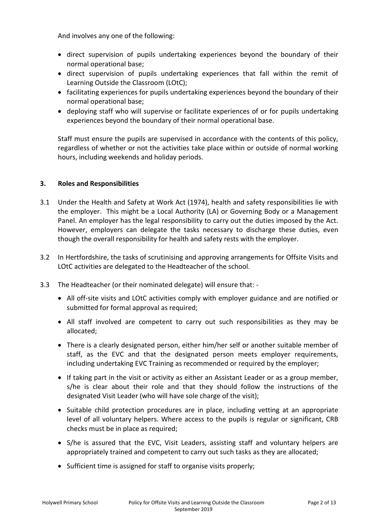And involves any one of the following:

- direct supervision of pupils undertaking experiences beyond the boundary of their normal operational base;
- direct supervision of pupils undertaking experiences that fall within the remit of Learning Outside the Classroom (LOtC);
- facilitating experiences for pupils undertaking experiences beyond the boundary of their normal operational base;
- deploying staff who will supervise or facilitate experiences of or for pupils undertaking experiences beyond the boundary of their normal operational base.

Staff must ensure the pupils are supervised in accordance with the contents of this policy, regardless of whether or not the activities take place within or outside of normal working hours, including weekends and holiday periods.

## **3. Roles and Responsibilities**

- 3.1 Under the Health and Safety at Work Act (1974), health and safety responsibilities lie with the employer. This might be a Local Authority (LA) or Governing Body or a Management Panel. An employer has the legal responsibility to carry out the duties imposed by the Act. However, employers can delegate the tasks necessary to discharge these duties, even though the overall responsibility for health and safety rests with the employer.
- 3.2 In Hertfordshire, the tasks of scrutinising and approving arrangements for Offsite Visits and LOtC activities are delegated to the Headteacher of the school.
- 3.3 The Headteacher (or their nominated delegate) will ensure that:
	- All off-site visits and LOtC activities comply with employer guidance and are notified or submitted for formal approval as required;
	- All staff involved are competent to carry out such responsibilities as they may be allocated;
	- There is a clearly designated person, either him/her self or another suitable member of staff, as the EVC and that the designated person meets employer requirements, including undertaking EVC Training as recommended or required by the employer;
	- If taking part in the visit or activity as either an Assistant Leader or as a group member, s/he is clear about their role and that they should follow the instructions of the designated Visit Leader (who will have sole charge of the visit);
	- Suitable child protection procedures are in place, including vetting at an appropriate level of all voluntary helpers. Where access to the pupils is regular or significant, CRB checks must be in place as required;
	- S/he is assured that the EVC, Visit Leaders, assisting staff and voluntary helpers are appropriately trained and competent to carry out such tasks as they are allocated;
	- Sufficient time is assigned for staff to organise visits properly: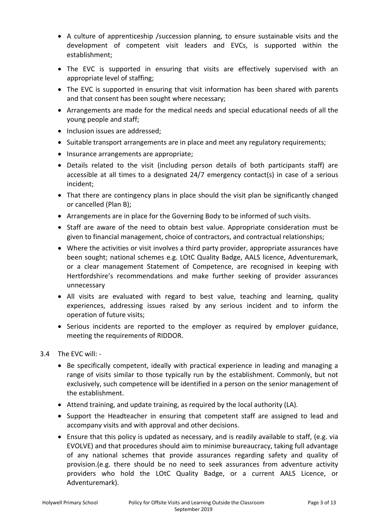- A culture of apprenticeship /succession planning, to ensure sustainable visits and the development of competent visit leaders and EVCs, is supported within the establishment;
- The EVC is supported in ensuring that visits are effectively supervised with an appropriate level of staffing;
- The EVC is supported in ensuring that visit information has been shared with parents and that consent has been sought where necessary;
- Arrangements are made for the medical needs and special educational needs of all the young people and staff;
- Inclusion issues are addressed:
- Suitable transport arrangements are in place and meet any regulatory requirements;
- Insurance arrangements are appropriate;
- Details related to the visit (including person details of both participants staff) are accessible at all times to a designated 24/7 emergency contact(s) in case of a serious incident;
- That there are contingency plans in place should the visit plan be significantly changed or cancelled (Plan B);
- Arrangements are in place for the Governing Body to be informed of such visits.
- Staff are aware of the need to obtain best value. Appropriate consideration must be given to financial management, choice of contractors, and contractual relationships;
- Where the activities or visit involves a third party provider, appropriate assurances have been sought; national schemes e.g. LOtC Quality Badge, AALS licence, Adventuremark, or a clear management Statement of Competence, are recognised in keeping with Hertfordshire's recommendations and make further seeking of provider assurances unnecessary
- All visits are evaluated with regard to best value, teaching and learning, quality experiences, addressing issues raised by any serious incident and to inform the operation of future visits;
- Serious incidents are reported to the employer as required by employer guidance, meeting the requirements of RIDDOR.
- 3.4 The EVC will:
	- Be specifically competent, ideally with practical experience in leading and managing a range of visits similar to those typically run by the establishment. Commonly, but not exclusively, such competence will be identified in a person on the senior management of the establishment.
	- Attend training, and update training, as required by the local authority (LA).
	- Support the Headteacher in ensuring that competent staff are assigned to lead and accompany visits and with approval and other decisions.
	- Ensure that this policy is updated as necessary, and is readily available to staff, (e.g. via EVOLVE) and that procedures should aim to minimise bureaucracy, taking full advantage of any national schemes that provide assurances regarding safety and quality of provision.(e.g. there should be no need to seek assurances from adventure activity providers who hold the LOtC Quality Badge, or a current AALS Licence, or Adventuremark).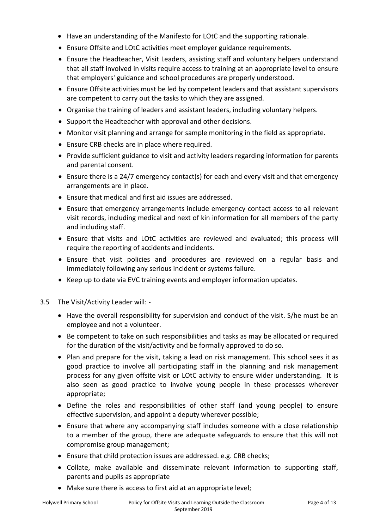- Have an understanding of the Manifesto for LOtC and the supporting rationale.
- Ensure Offsite and LOtC activities meet employer guidance requirements.
- Ensure the Headteacher, Visit Leaders, assisting staff and voluntary helpers understand that all staff involved in visits require access to training at an appropriate level to ensure that employers' guidance and school procedures are properly understood.
- Ensure Offsite activities must be led by competent leaders and that assistant supervisors are competent to carry out the tasks to which they are assigned.
- Organise the training of leaders and assistant leaders, including voluntary helpers.
- Support the Headteacher with approval and other decisions.
- Monitor visit planning and arrange for sample monitoring in the field as appropriate.
- Ensure CRB checks are in place where required.
- Provide sufficient guidance to visit and activity leaders regarding information for parents and parental consent.
- Ensure there is a 24/7 emergency contact(s) for each and every visit and that emergency arrangements are in place.
- Ensure that medical and first aid issues are addressed.
- Ensure that emergency arrangements include emergency contact access to all relevant visit records, including medical and next of kin information for all members of the party and including staff.
- Ensure that visits and LOtC activities are reviewed and evaluated; this process will require the reporting of accidents and incidents.
- Ensure that visit policies and procedures are reviewed on a regular basis and immediately following any serious incident or systems failure.
- Keep up to date via EVC training events and employer information updates.
- 3.5 The Visit/Activity Leader will:
	- Have the overall responsibility for supervision and conduct of the visit. S/he must be an employee and not a volunteer.
	- Be competent to take on such responsibilities and tasks as may be allocated or required for the duration of the visit/activity and be formally approved to do so.
	- Plan and prepare for the visit, taking a lead on risk management. This school sees it as good practice to involve all participating staff in the planning and risk management process for any given offsite visit or LOtC activity to ensure wider understanding. It is also seen as good practice to involve young people in these processes wherever appropriate;
	- Define the roles and responsibilities of other staff (and young people) to ensure effective supervision, and appoint a deputy wherever possible;
	- Ensure that where any accompanying staff includes someone with a close relationship to a member of the group, there are adequate safeguards to ensure that this will not compromise group management;
	- Ensure that child protection issues are addressed. e.g. CRB checks;
	- Collate, make available and disseminate relevant information to supporting staff, parents and pupils as appropriate
	- Make sure there is access to first aid at an appropriate level;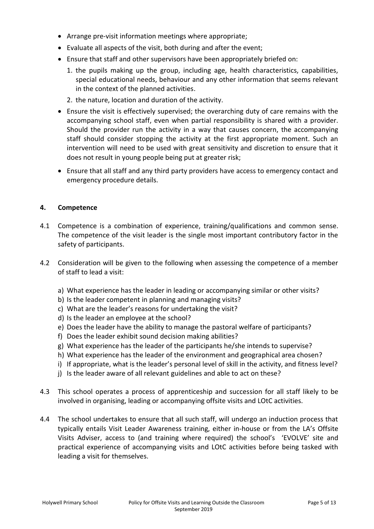- Arrange pre-visit information meetings where appropriate;
- Evaluate all aspects of the visit, both during and after the event;
- Ensure that staff and other supervisors have been appropriately briefed on:
	- 1. the pupils making up the group, including age, health characteristics, capabilities, special educational needs, behaviour and any other information that seems relevant in the context of the planned activities.
	- 2. the nature, location and duration of the activity.
- Ensure the visit is effectively supervised; the overarching duty of care remains with the accompanying school staff, even when partial responsibility is shared with a provider. Should the provider run the activity in a way that causes concern, the accompanying staff should consider stopping the activity at the first appropriate moment. Such an intervention will need to be used with great sensitivity and discretion to ensure that it does not result in young people being put at greater risk;
- Ensure that all staff and any third party providers have access to emergency contact and emergency procedure details.

## **4. Competence**

- 4.1 Competence is a combination of experience, training/qualifications and common sense. The competence of the visit leader is the single most important contributory factor in the safety of participants.
- 4.2 Consideration will be given to the following when assessing the competence of a member of staff to lead a visit:
	- a) What experience has the leader in leading or accompanying similar or other visits?
	- b) Is the leader competent in planning and managing visits?
	- c) What are the leader's reasons for undertaking the visit?
	- d) Is the leader an employee at the school?
	- e) Does the leader have the ability to manage the pastoral welfare of participants?
	- f) Does the leader exhibit sound decision making abilities?
	- g) What experience has the leader of the participants he/she intends to supervise?
	- h) What experience has the leader of the environment and geographical area chosen?
	- i) If appropriate, what is the leader's personal level of skill in the activity, and fitness level?
	- j) Is the leader aware of all relevant guidelines and able to act on these?
- 4.3 This school operates a process of apprenticeship and succession for all staff likely to be involved in organising, leading or accompanying offsite visits and LOtC activities.
- 4.4 The school undertakes to ensure that all such staff, will undergo an induction process that typically entails Visit Leader Awareness training, either in-house or from the LA's Offsite Visits Adviser, access to (and training where required) the school's 'EVOLVE' site and practical experience of accompanying visits and LOtC activities before being tasked with leading a visit for themselves.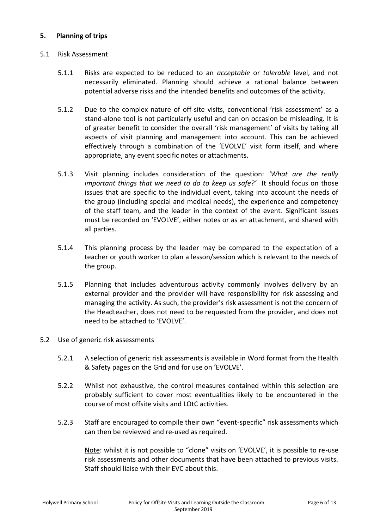## **5. Planning of trips**

## 5.1 Risk Assessment

- 5.1.1 Risks are expected to be reduced to an *acceptable* or *tolerable* level, and not necessarily eliminated. Planning should achieve a rational balance between potential adverse risks and the intended benefits and outcomes of the activity.
- 5.1.2 Due to the complex nature of off-site visits, conventional 'risk assessment' as a stand-alone tool is not particularly useful and can on occasion be misleading. It is of greater benefit to consider the overall 'risk management' of visits by taking all aspects of visit planning and management into account. This can be achieved effectively through a combination of the 'EVOLVE' visit form itself, and where appropriate, any event specific notes or attachments.
- 5.1.3 Visit planning includes consideration of the question: *'What are the really important things that we need to do to keep us safe?'* It should focus on those issues that are specific to the individual event, taking into account the needs of the group (including special and medical needs), the experience and competency of the staff team, and the leader in the context of the event. Significant issues must be recorded on 'EVOLVE', either notes or as an attachment, and shared with all parties.
- 5.1.4 This planning process by the leader may be compared to the expectation of a teacher or youth worker to plan a lesson/session which is relevant to the needs of the group.
- 5.1.5 Planning that includes adventurous activity commonly involves delivery by an external provider and the provider will have responsibility for risk assessing and managing the activity. As such, the provider's risk assessment is not the concern of the Headteacher, does not need to be requested from the provider, and does not need to be attached to 'EVOLVE'.

## 5.2 Use of generic risk assessments

- 5.2.1 A selection of generic risk assessments is available in Word format from the Health & Safety pages on the Grid and for use on 'EVOLVE'.
- 5.2.2 Whilst not exhaustive, the control measures contained within this selection are probably sufficient to cover most eventualities likely to be encountered in the course of most offsite visits and LOtC activities.
- 5.2.3 Staff are encouraged to compile their own "event-specific" risk assessments which can then be reviewed and re-used as required.

Note: whilst it is not possible to "clone" visits on 'EVOLVE', it is possible to re-use risk assessments and other documents that have been attached to previous visits. Staff should liaise with their EVC about this.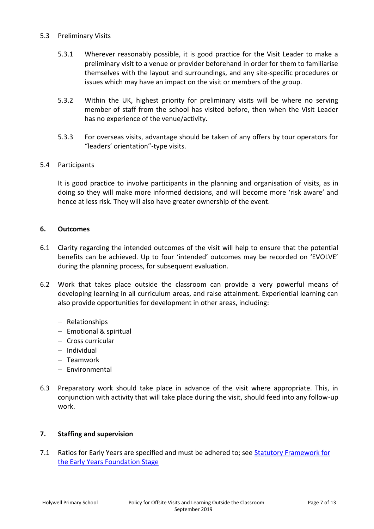## 5.3 Preliminary Visits

- 5.3.1 Wherever reasonably possible, it is good practice for the Visit Leader to make a preliminary visit to a venue or provider beforehand in order for them to familiarise themselves with the layout and surroundings, and any site-specific procedures or issues which may have an impact on the visit or members of the group.
- 5.3.2 Within the UK, highest priority for preliminary visits will be where no serving member of staff from the school has visited before, then when the Visit Leader has no experience of the venue/activity.
- 5.3.3 For overseas visits, advantage should be taken of any offers by tour operators for "leaders' orientation"-type visits.

## 5.4 Participants

It is good practice to involve participants in the planning and organisation of visits, as in doing so they will make more informed decisions, and will become more 'risk aware' and hence at less risk. They will also have greater ownership of the event.

## **6. Outcomes**

- 6.1 Clarity regarding the intended outcomes of the visit will help to ensure that the potential benefits can be achieved. Up to four 'intended' outcomes may be recorded on 'EVOLVE' during the planning process, for subsequent evaluation.
- 6.2 Work that takes place outside the classroom can provide a very powerful means of developing learning in all curriculum areas, and raise attainment. Experiential learning can also provide opportunities for development in other areas, including:
	- Relationships
	- $-$  Emotional & spiritual
	- Cross curricular
	- Individual
	- Teamwork
	- Environmental
- 6.3 Preparatory work should take place in advance of the visit where appropriate. This, in conjunction with activity that will take place during the visit, should feed into any follow-up work.

## **7. Staffing and supervision**

7.1 Ratios for Early Years are specified and must be adhered to; see [Statutory Framework for](http://www.national-library.info/download.asp?fileid=1273)  [the Early Years Foundation Stage](http://www.national-library.info/download.asp?fileid=1273)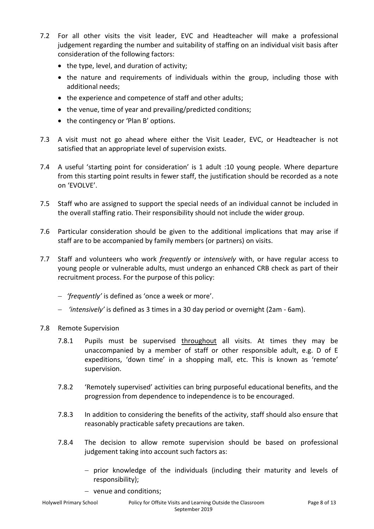- 7.2 For all other visits the visit leader, EVC and Headteacher will make a professional judgement regarding the number and suitability of staffing on an individual visit basis after consideration of the following factors:
	- $\bullet$  the type, level, and duration of activity;
	- the nature and requirements of individuals within the group, including those with additional needs;
	- the experience and competence of staff and other adults;
	- the venue, time of year and prevailing/predicted conditions;
	- the contingency or 'Plan B' options.
- 7.3 A visit must not go ahead where either the Visit Leader, EVC, or Headteacher is not satisfied that an appropriate level of supervision exists.
- 7.4 A useful 'starting point for consideration' is 1 adult :10 young people. Where departure from this starting point results in fewer staff, the justification should be recorded as a note on 'EVOLVE'.
- 7.5 Staff who are assigned to support the special needs of an individual cannot be included in the overall staffing ratio. Their responsibility should not include the wider group.
- 7.6 Particular consideration should be given to the additional implications that may arise if staff are to be accompanied by family members (or partners) on visits.
- 7.7 Staff and volunteers who work *frequently* or *intensively* with, or have regular access to young people or vulnerable adults, must undergo an enhanced CRB check as part of their recruitment process. For the purpose of this policy:
	- *'frequently'* is defined as 'once a week or more'.
	- *'intensively'* is defined as 3 times in a 30 day period or overnight (2am 6am).
- 7.8 Remote Supervision
	- 7.8.1 Pupils must be supervised throughout all visits. At times they may be unaccompanied by a member of staff or other responsible adult, e.g. D of E expeditions, 'down time' in a shopping mall, etc. This is known as 'remote' supervision.
	- 7.8.2 'Remotely supervised' activities can bring purposeful educational benefits, and the progression from dependence to independence is to be encouraged.
	- 7.8.3 In addition to considering the benefits of the activity, staff should also ensure that reasonably practicable safety precautions are taken.
	- 7.8.4 The decision to allow remote supervision should be based on professional judgement taking into account such factors as:
		- prior knowledge of the individuals (including their maturity and levels of responsibility);
		- venue and conditions;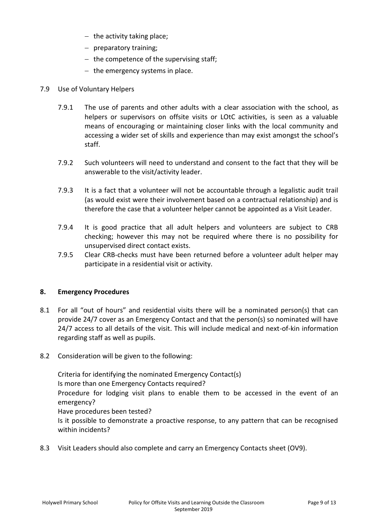- $-$  the activity taking place;
- preparatory training;
- $-$  the competence of the supervising staff;
- $-$  the emergency systems in place.

## 7.9 Use of Voluntary Helpers

- 7.9.1 The use of parents and other adults with a clear association with the school, as helpers or supervisors on offsite visits or LOtC activities, is seen as a valuable means of encouraging or maintaining closer links with the local community and accessing a wider set of skills and experience than may exist amongst the school's staff.
- 7.9.2 Such volunteers will need to understand and consent to the fact that they will be answerable to the visit/activity leader.
- 7.9.3 It is a fact that a volunteer will not be accountable through a legalistic audit trail (as would exist were their involvement based on a contractual relationship) and is therefore the case that a volunteer helper cannot be appointed as a Visit Leader.
- 7.9.4 It is good practice that all adult helpers and volunteers are subject to CRB checking; however this may not be required where there is no possibility for unsupervised direct contact exists.
- 7.9.5 Clear CRB-checks must have been returned before a volunteer adult helper may participate in a residential visit or activity.

## **8. Emergency Procedures**

- 8.1 For all "out of hours" and residential visits there will be a nominated person(s) that can provide 24/7 cover as an Emergency Contact and that the person(s) so nominated will have 24/7 access to all details of the visit. This will include medical and next-of-kin information regarding staff as well as pupils.
- 8.2 Consideration will be given to the following:

Criteria for identifying the nominated Emergency Contact(s) Is more than one Emergency Contacts required? Procedure for lodging visit plans to enable them to be accessed in the event of an emergency? Have procedures been tested? Is it possible to demonstrate a proactive response, to any pattern that can be recognised within incidents?

8.3 Visit Leaders should also complete and carry an Emergency Contacts sheet (OV9).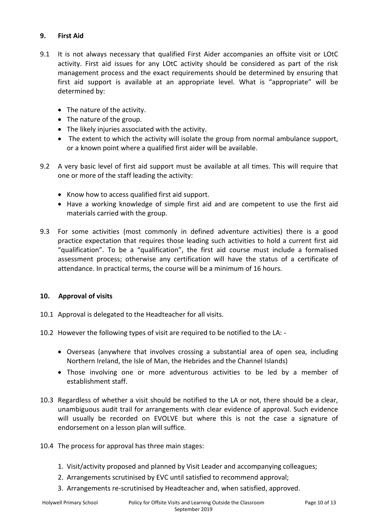## **9. First Aid**

- 9.1 It is not always necessary that qualified First Aider accompanies an offsite visit or LOtC activity. First aid issues for any LOtC activity should be considered as part of the risk management process and the exact requirements should be determined by ensuring that first aid support is available at an appropriate level. What is "appropriate" will be determined by:
	- The nature of the activity.
	- The nature of the group.
	- The likely injuries associated with the activity.
	- The extent to which the activity will isolate the group from normal ambulance support, or a known point where a qualified first aider will be available.
- 9.2 A very basic level of first aid support must be available at all times. This will require that one or more of the staff leading the activity:
	- Know how to access qualified first aid support.
	- Have a working knowledge of simple first aid and are competent to use the first aid materials carried with the group.
- 9.3 For some activities (most commonly in defined adventure activities) there is a good practice expectation that requires those leading such activities to hold a current first aid "qualification". To be a "qualification", the first aid course must include a formalised assessment process; otherwise any certification will have the status of a certificate of attendance. In practical terms, the course will be a minimum of 16 hours.

## **10. Approval of visits**

- 10.1 Approval is delegated to the Headteacher for all visits.
- 10.2 However the following types of visit are required to be notified to the LA:
	- Overseas (anywhere that involves crossing a substantial area of open sea, including Northern Ireland, the Isle of Man, the Hebrides and the Channel Islands)
	- Those involving one or more adventurous activities to be led by a member of establishment staff.
- 10.3 Regardless of whether a visit should be notified to the LA or not, there should be a clear, unambiguous audit trail for arrangements with clear evidence of approval. Such evidence will usually be recorded on EVOLVE but where this is not the case a signature of endorsement on a lesson plan will suffice.
- 10.4 The process for approval has three main stages:
	- 1. Visit/activity proposed and planned by Visit Leader and accompanying colleagues;
	- 2. Arrangements scrutinised by EVC until satisfied to recommend approval;
	- 3. Arrangements re-scrutinised by Headteacher and, when satisfied, approved.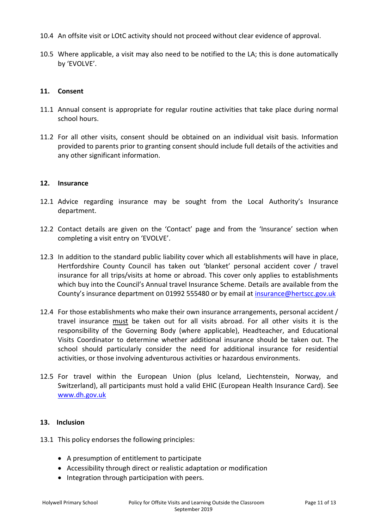- 10.4 An offsite visit or LOtC activity should not proceed without clear evidence of approval.
- 10.5 Where applicable, a visit may also need to be notified to the LA; this is done automatically by 'EVOLVE'.

## **11. Consent**

- 11.1 Annual consent is appropriate for regular routine activities that take place during normal school hours.
- 11.2 For all other visits, consent should be obtained on an individual visit basis. Information provided to parents prior to granting consent should include full details of the activities and any other significant information.

## **12. Insurance**

- 12.1 Advice regarding insurance may be sought from the Local Authority's Insurance department.
- 12.2 Contact details are given on the 'Contact' page and from the 'Insurance' section when completing a visit entry on 'EVOLVE'.
- 12.3 In addition to the standard public liability cover which all establishments will have in place, Hertfordshire County Council has taken out 'blanket' personal accident cover / travel insurance for all trips/visits at home or abroad. This cover only applies to establishments which buy into the Council's Annual travel Insurance Scheme. Details are available from the County's insurance department on 01992 555480 or by email at [insurance@hertscc.gov.uk](mailto:insurance@hertscc.gov.uk)
- 12.4 For those establishments who make their own insurance arrangements, personal accident / travel insurance must be taken out for all visits abroad. For all other visits it is the responsibility of the Governing Body (where applicable), Headteacher, and Educational Visits Coordinator to determine whether additional insurance should be taken out. The school should particularly consider the need for additional insurance for residential activities, or those involving adventurous activities or hazardous environments.
- 12.5 For travel within the European Union (plus Iceland, Liechtenstein, Norway, and Switzerland), all participants must hold a valid EHIC (European Health Insurance Card). See [www.dh.gov.uk](http://www.dh.gov.uk/)

## **13. Inclusion**

- 13.1 This policy endorses the following principles:
	- A presumption of entitlement to participate
	- Accessibility through direct or realistic adaptation or modification
	- Integration through participation with peers.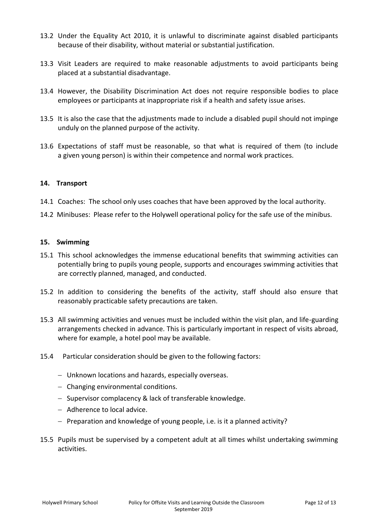- 13.2 Under the Equality Act 2010, it is unlawful to discriminate against disabled participants because of their disability, without material or substantial justification.
- 13.3 Visit Leaders are required to make reasonable adjustments to avoid participants being placed at a substantial disadvantage.
- 13.4 However, the Disability Discrimination Act does not require responsible bodies to place employees or participants at inappropriate risk if a health and safety issue arises.
- 13.5 It is also the case that the adjustments made to include a disabled pupil should not impinge unduly on the planned purpose of the activity.
- 13.6 Expectations of staff must be reasonable, so that what is required of them (to include a given young person) is within their competence and normal work practices.

## **14. Transport**

- 14.1 Coaches: The school only uses coaches that have been approved by the local authority.
- 14.2 Minibuses: Please refer to the Holywell operational policy for the safe use of the minibus.

## **15. Swimming**

- 15.1 This school acknowledges the immense educational benefits that swimming activities can potentially bring to pupils young people, supports and encourages swimming activities that are correctly planned, managed, and conducted.
- 15.2 In addition to considering the benefits of the activity, staff should also ensure that reasonably practicable safety precautions are taken.
- 15.3 All swimming activities and venues must be included within the visit plan, and life-guarding arrangements checked in advance. This is particularly important in respect of visits abroad, where for example, a hotel pool may be available.
- 15.4 Particular consideration should be given to the following factors:
	- Unknown locations and hazards, especially overseas.
	- Changing environmental conditions.
	- Supervisor complacency & lack of transferable knowledge.
	- Adherence to local advice.
	- $P$  Preparation and knowledge of young people, i.e. is it a planned activity?
- 15.5 Pupils must be supervised by a competent adult at all times whilst undertaking swimming activities.